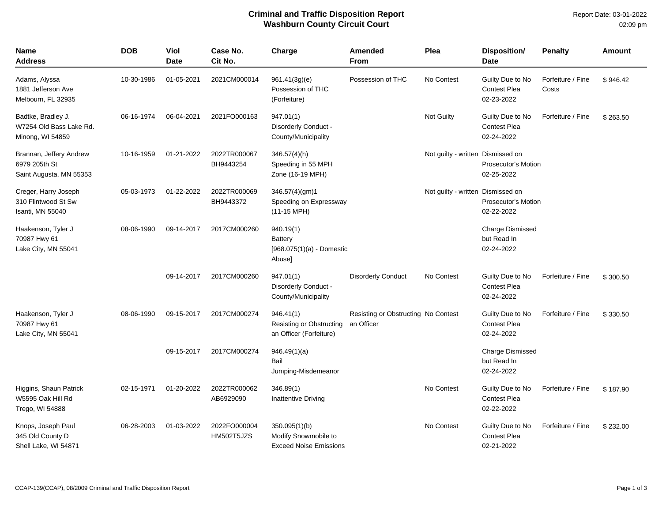## **Criminal and Traffic Disposition Report Washburn County Circuit Court**

| Name<br><b>Address</b>                                              | <b>DOB</b> | Viol<br><b>Date</b> | Case No.<br>Cit No.        | Charge                                                                 | Amended<br><b>From</b>                            | Plea                              | <b>Disposition/</b><br><b>Date</b>                    | <b>Penalty</b>             | Amount   |
|---------------------------------------------------------------------|------------|---------------------|----------------------------|------------------------------------------------------------------------|---------------------------------------------------|-----------------------------------|-------------------------------------------------------|----------------------------|----------|
| Adams, Alyssa<br>1881 Jefferson Ave<br>Melbourn, FL 32935           | 10-30-1986 | 01-05-2021          | 2021CM000014               | 961.41(3g)(e)<br>Possession of THC<br>(Forfeiture)                     | Possession of THC                                 | No Contest                        | Guilty Due to No<br><b>Contest Plea</b><br>02-23-2022 | Forfeiture / Fine<br>Costs | \$946.42 |
| Badtke, Bradley J.<br>W7254 Old Bass Lake Rd.<br>Minong, WI 54859   | 06-16-1974 | 06-04-2021          | 2021FO000163               | 947.01(1)<br>Disorderly Conduct -<br>County/Municipality               |                                                   | Not Guilty                        | Guilty Due to No<br><b>Contest Plea</b><br>02-24-2022 | Forfeiture / Fine          | \$263.50 |
| Brannan, Jeffery Andrew<br>6979 205th St<br>Saint Augusta, MN 55353 | 10-16-1959 | 01-21-2022          | 2022TR000067<br>BH9443254  | 346.57(4)(h)<br>Speeding in 55 MPH<br>Zone (16-19 MPH)                 |                                                   | Not guilty - written Dismissed on | <b>Prosecutor's Motion</b><br>02-25-2022              |                            |          |
| Creger, Harry Joseph<br>310 Flintwood St Sw<br>Isanti, MN 55040     | 05-03-1973 | 01-22-2022          | 2022TR000069<br>BH9443372  | 346.57(4)(gm)1<br>Speeding on Expressway<br>$(11-15 \text{ MPH})$      |                                                   | Not guilty - written Dismissed on | <b>Prosecutor's Motion</b><br>02-22-2022              |                            |          |
| Haakenson, Tyler J<br>70987 Hwy 61<br>Lake City, MN 55041           | 08-06-1990 | 09-14-2017          | 2017CM000260               | 940.19(1)<br><b>Battery</b><br>$[968.075(1)(a) - Domestic$<br>Abuse]   |                                                   |                                   | <b>Charge Dismissed</b><br>but Read In<br>02-24-2022  |                            |          |
|                                                                     |            | 09-14-2017          | 2017CM000260               | 947.01(1)<br>Disorderly Conduct -<br>County/Municipality               | <b>Disorderly Conduct</b>                         | No Contest                        | Guilty Due to No<br><b>Contest Plea</b><br>02-24-2022 | Forfeiture / Fine          | \$300.50 |
| Haakenson, Tyler J<br>70987 Hwy 61<br>Lake City, MN 55041           | 08-06-1990 | 09-15-2017          | 2017CM000274               | 946.41(1)<br>Resisting or Obstructing<br>an Officer (Forfeiture)       | Resisting or Obstructing No Contest<br>an Officer |                                   | Guilty Due to No<br><b>Contest Plea</b><br>02-24-2022 | Forfeiture / Fine          | \$330.50 |
|                                                                     |            | 09-15-2017          | 2017CM000274               | 946.49(1)(a)<br>Bail<br>Jumping-Misdemeanor                            |                                                   |                                   | <b>Charge Dismissed</b><br>but Read In<br>02-24-2022  |                            |          |
| Higgins, Shaun Patrick<br>W5595 Oak Hill Rd<br>Trego, WI 54888      | 02-15-1971 | 01-20-2022          | 2022TR000062<br>AB6929090  | 346.89(1)<br><b>Inattentive Driving</b>                                |                                                   | No Contest                        | Guilty Due to No<br><b>Contest Plea</b><br>02-22-2022 | Forfeiture / Fine          | \$187.90 |
| Knops, Joseph Paul<br>345 Old County D<br>Shell Lake, WI 54871      | 06-28-2003 | 01-03-2022          | 2022FO000004<br>HM502T5JZS | 350.095(1)(b)<br>Modify Snowmobile to<br><b>Exceed Noise Emissions</b> |                                                   | No Contest                        | Guilty Due to No<br><b>Contest Plea</b><br>02-21-2022 | Forfeiture / Fine          | \$232.00 |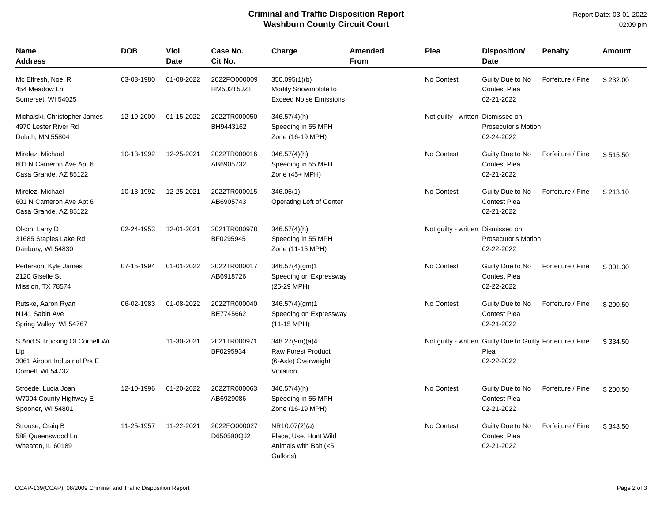## **Criminal and Traffic Disposition Report Washburn County Circuit Court**

| Name<br><b>Address</b>                                                                      | <b>DOB</b> | Viol<br><b>Date</b> | Case No.<br>Cit No.        | Charge                                                                          | <b>Amended</b><br><b>From</b> | Plea                              | <b>Disposition/</b><br><b>Date</b>                                                | <b>Penalty</b>    | Amount   |
|---------------------------------------------------------------------------------------------|------------|---------------------|----------------------------|---------------------------------------------------------------------------------|-------------------------------|-----------------------------------|-----------------------------------------------------------------------------------|-------------------|----------|
| Mc Elfresh, Noel R<br>454 Meadow Ln<br>Somerset, WI 54025                                   | 03-03-1980 | 01-08-2022          | 2022FO000009<br>HM502T5JZT | 350.095(1)(b)<br>Modify Snowmobile to<br><b>Exceed Noise Emissions</b>          |                               | No Contest                        | Guilty Due to No<br><b>Contest Plea</b><br>02-21-2022                             | Forfeiture / Fine | \$232.00 |
| Michalski, Christopher James<br>4970 Lester River Rd<br>Duluth, MN 55804                    | 12-19-2000 | 01-15-2022          | 2022TR000050<br>BH9443162  | $346.57(4)$ (h)<br>Speeding in 55 MPH<br>Zone (16-19 MPH)                       |                               | Not guilty - written Dismissed on | Prosecutor's Motion<br>02-24-2022                                                 |                   |          |
| Mirelez, Michael<br>601 N Cameron Ave Apt 6<br>Casa Grande, AZ 85122                        | 10-13-1992 | 12-25-2021          | 2022TR000016<br>AB6905732  | 346.57(4)(h)<br>Speeding in 55 MPH<br>Zone (45+ MPH)                            |                               | No Contest                        | Guilty Due to No<br><b>Contest Plea</b><br>02-21-2022                             | Forfeiture / Fine | \$515.50 |
| Mirelez, Michael<br>601 N Cameron Ave Apt 6<br>Casa Grande, AZ 85122                        | 10-13-1992 | 12-25-2021          | 2022TR000015<br>AB6905743  | 346.05(1)<br>Operating Left of Center                                           |                               | No Contest                        | Guilty Due to No<br><b>Contest Plea</b><br>02-21-2022                             | Forfeiture / Fine | \$213.10 |
| Olson, Larry D<br>31685 Staples Lake Rd<br>Danbury, WI 54830                                | 02-24-1953 | 12-01-2021          | 2021TR000978<br>BF0295945  | $346.57(4)$ (h)<br>Speeding in 55 MPH<br>Zone (11-15 MPH)                       |                               | Not guilty - written Dismissed on | <b>Prosecutor's Motion</b><br>02-22-2022                                          |                   |          |
| Pederson, Kyle James<br>2120 Giselle St<br>Mission, TX 78574                                | 07-15-1994 | 01-01-2022          | 2022TR000017<br>AB6918726  | 346.57(4)(gm)1<br>Speeding on Expressway<br>(25-29 MPH)                         |                               | No Contest                        | Guilty Due to No<br><b>Contest Plea</b><br>02-22-2022                             | Forfeiture / Fine | \$301.30 |
| Rutske, Aaron Ryan<br>N <sub>141</sub> Sabin Ave<br>Spring Valley, WI 54767                 | 06-02-1983 | 01-08-2022          | 2022TR000040<br>BE7745662  | 346.57(4)(gm)1<br>Speeding on Expressway<br>$(11-15 \text{ MPH})$               |                               | No Contest                        | Guilty Due to No<br><b>Contest Plea</b><br>02-21-2022                             | Forfeiture / Fine | \$200.50 |
| S And S Trucking Of Cornell Wi<br>Llp<br>3061 Airport Industrial Prk E<br>Cornell, WI 54732 |            | 11-30-2021          | 2021TR000971<br>BF0295934  | 348.27(9m)(a)4<br><b>Raw Forest Product</b><br>(6-Axle) Overweight<br>Violation |                               |                                   | Not guilty - written Guilty Due to Guilty Forfeiture / Fine<br>Plea<br>02-22-2022 |                   | \$334.50 |
| Stroede, Lucia Joan<br>W7004 County Highway E<br>Spooner, WI 54801                          | 12-10-1996 | 01-20-2022          | 2022TR000063<br>AB6929086  | $346.57(4)$ (h)<br>Speeding in 55 MPH<br>Zone (16-19 MPH)                       |                               | No Contest                        | Guilty Due to No<br><b>Contest Plea</b><br>02-21-2022                             | Forfeiture / Fine | \$200.50 |
| Strouse, Craig B<br>588 Queenswood Ln<br>Wheaton, IL 60189                                  | 11-25-1957 | 11-22-2021          | 2022FO000027<br>D650580QJ2 | NR10.07(2)(a)<br>Place, Use, Hunt Wild<br>Animals with Bait (<5<br>Gallons)     |                               | No Contest                        | Guilty Due to No<br><b>Contest Plea</b><br>02-21-2022                             | Forfeiture / Fine | \$343.50 |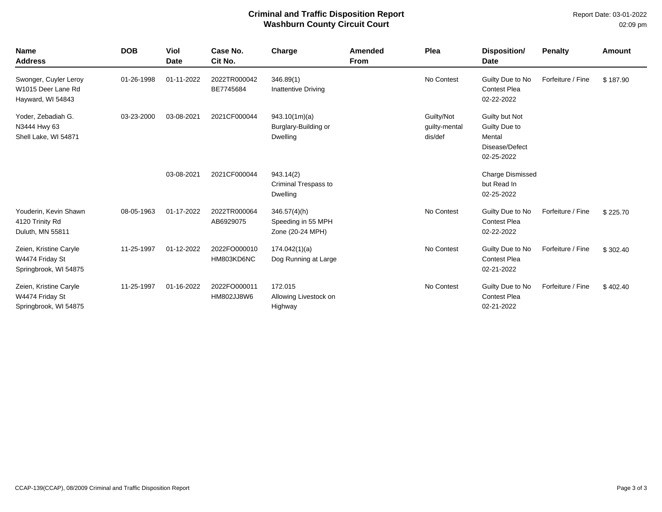## **Criminal and Traffic Disposition Report Washburn County Circuit Court**

Report Date: 03-01-2022 02:09 pm

| <b>Name</b><br><b>Address</b>                                      | <b>DOB</b> | Viol<br><b>Date</b> | Case No.<br>Cit No.        | Charge                                                    | <b>Amended</b><br><b>From</b> | Plea                                   | Disposition/<br><b>Date</b>                                               | Penalty           | <b>Amount</b> |
|--------------------------------------------------------------------|------------|---------------------|----------------------------|-----------------------------------------------------------|-------------------------------|----------------------------------------|---------------------------------------------------------------------------|-------------------|---------------|
| Swonger, Cuyler Leroy<br>W1015 Deer Lane Rd<br>Hayward, WI 54843   | 01-26-1998 | 01-11-2022          | 2022TR000042<br>BE7745684  | 346.89(1)<br>Inattentive Driving                          |                               | No Contest                             | Guilty Due to No<br><b>Contest Plea</b><br>02-22-2022                     | Forfeiture / Fine | \$187.90      |
| Yoder, Zebadiah G.<br>N3444 Hwy 63<br>Shell Lake, WI 54871         | 03-23-2000 | 03-08-2021          | 2021CF000044               | 943.10(1m)(a)<br>Burglary-Building or<br><b>Dwelling</b>  |                               | Guilty/Not<br>guilty-mental<br>dis/def | Guilty but Not<br>Guilty Due to<br>Mental<br>Disease/Defect<br>02-25-2022 |                   |               |
|                                                                    |            | 03-08-2021          | 2021CF000044               | 943.14(2)<br>Criminal Trespass to<br><b>Dwelling</b>      |                               |                                        | <b>Charge Dismissed</b><br>but Read In<br>02-25-2022                      |                   |               |
| Youderin, Kevin Shawn<br>4120 Trinity Rd<br>Duluth, MN 55811       | 08-05-1963 | 01-17-2022          | 2022TR000064<br>AB6929075  | $346.57(4)$ (h)<br>Speeding in 55 MPH<br>Zone (20-24 MPH) |                               | No Contest                             | Guilty Due to No<br><b>Contest Plea</b><br>02-22-2022                     | Forfeiture / Fine | \$225.70      |
| Zeien, Kristine Caryle<br>W4474 Friday St<br>Springbrook, WI 54875 | 11-25-1997 | 01-12-2022          | 2022FO000010<br>HM803KD6NC | 174.042(1)(a)<br>Dog Running at Large                     |                               | No Contest                             | Guilty Due to No<br><b>Contest Plea</b><br>02-21-2022                     | Forfeiture / Fine | \$302.40      |
| Zeien, Kristine Caryle<br>W4474 Friday St<br>Springbrook, WI 54875 | 11-25-1997 | 01-16-2022          | 2022FO000011<br>HM802JJ8W6 | 172.015<br>Allowing Livestock on<br>Highway               |                               | No Contest                             | Guilty Due to No<br><b>Contest Plea</b><br>02-21-2022                     | Forfeiture / Fine | \$402.40      |